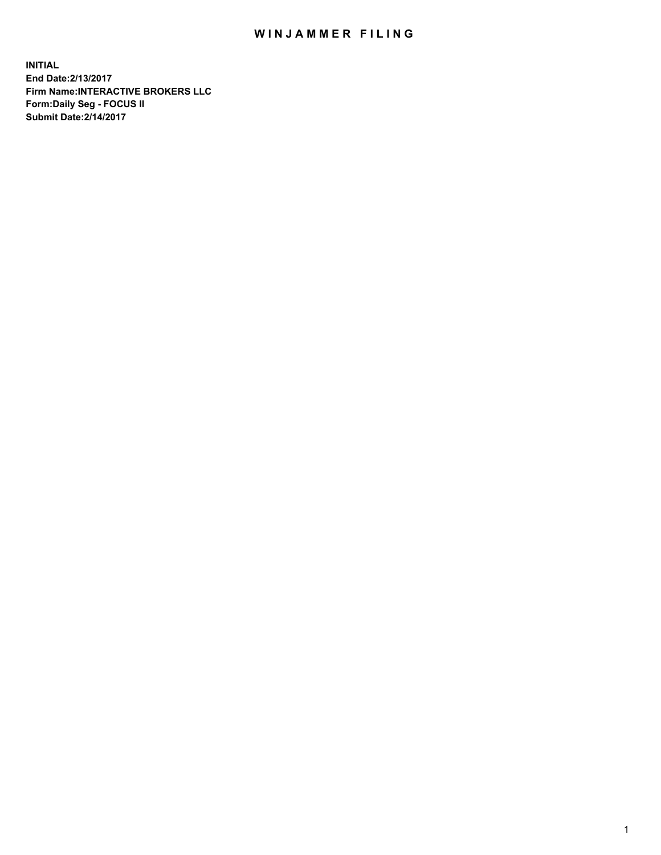## WIN JAMMER FILING

**INITIAL End Date:2/13/2017 Firm Name:INTERACTIVE BROKERS LLC Form:Daily Seg - FOCUS II Submit Date:2/14/2017**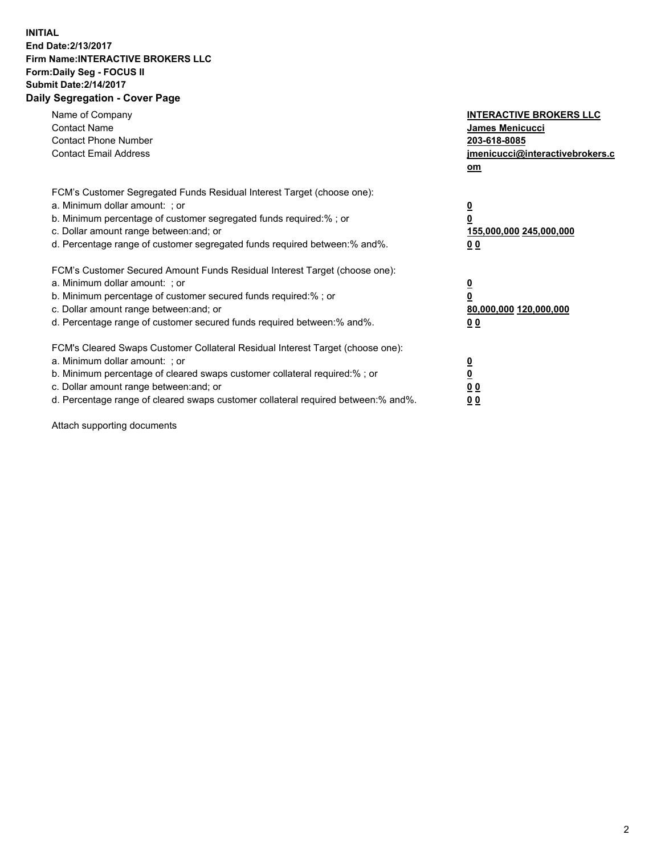## **INITIAL End Date:2/13/2017 Firm Name:INTERACTIVE BROKERS LLC Form:Daily Seg - FOCUS II Submit Date:2/14/2017 Daily Segregation - Cover Page**

| Name of Company<br><b>Contact Name</b><br><b>Contact Phone Number</b><br><b>Contact Email Address</b>                                                                                                                                                                                                                          | <b>INTERACTIVE BROKERS LLC</b><br><b>James Menicucci</b><br>203-618-8085<br>jmenicucci@interactivebrokers.c<br>om |
|--------------------------------------------------------------------------------------------------------------------------------------------------------------------------------------------------------------------------------------------------------------------------------------------------------------------------------|-------------------------------------------------------------------------------------------------------------------|
| FCM's Customer Segregated Funds Residual Interest Target (choose one):<br>a. Minimum dollar amount: ; or<br>b. Minimum percentage of customer segregated funds required:%; or<br>c. Dollar amount range between: and; or<br>d. Percentage range of customer segregated funds required between:% and%.                          | $\overline{\mathbf{0}}$<br>0<br>155,000,000 245,000,000<br>0 <sub>0</sub>                                         |
| FCM's Customer Secured Amount Funds Residual Interest Target (choose one):<br>a. Minimum dollar amount: ; or<br>b. Minimum percentage of customer secured funds required:%; or<br>c. Dollar amount range between: and; or<br>d. Percentage range of customer secured funds required between: % and %.                          | $\overline{\mathbf{0}}$<br>0<br>80,000,000 120,000,000<br>0 <sub>0</sub>                                          |
| FCM's Cleared Swaps Customer Collateral Residual Interest Target (choose one):<br>a. Minimum dollar amount: ; or<br>b. Minimum percentage of cleared swaps customer collateral required:% ; or<br>c. Dollar amount range between: and; or<br>d. Percentage range of cleared swaps customer collateral required between:% and%. | $\overline{\mathbf{0}}$<br>$\overline{\mathbf{0}}$<br>0 <sub>0</sub><br><u>00</u>                                 |

Attach supporting documents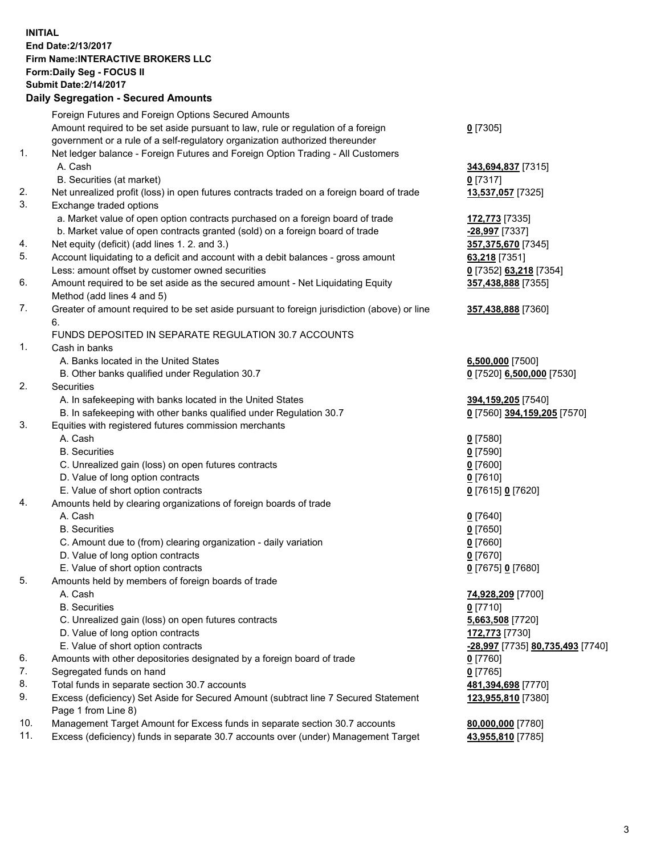## **INITIAL End Date:2/13/2017 Firm Name:INTERACTIVE BROKERS LLC Form:Daily Seg - FOCUS II Submit Date:2/14/2017 Daily Segregation - Secured Amounts**

|     | Foreign Futures and Foreign Options Secured Amounts                                                        |                                  |
|-----|------------------------------------------------------------------------------------------------------------|----------------------------------|
|     | Amount required to be set aside pursuant to law, rule or regulation of a foreign                           | $0$ [7305]                       |
|     | government or a rule of a self-regulatory organization authorized thereunder                               |                                  |
| 1.  | Net ledger balance - Foreign Futures and Foreign Option Trading - All Customers                            |                                  |
|     | A. Cash                                                                                                    | 343,694,837 [7315]               |
|     | B. Securities (at market)                                                                                  | $0$ [7317]                       |
| 2.  | Net unrealized profit (loss) in open futures contracts traded on a foreign board of trade                  | 13,537,057 [7325]                |
| 3.  | Exchange traded options                                                                                    |                                  |
|     | a. Market value of open option contracts purchased on a foreign board of trade                             | 172,773 [7335]                   |
|     | b. Market value of open contracts granted (sold) on a foreign board of trade                               | -28,997 [7337]                   |
| 4.  | Net equity (deficit) (add lines 1. 2. and 3.)                                                              | 357,375,670 [7345]               |
| 5.  | Account liquidating to a deficit and account with a debit balances - gross amount                          | 63,218 [7351]                    |
|     | Less: amount offset by customer owned securities                                                           | 0 [7352] 63,218 [7354]           |
| 6.  | Amount required to be set aside as the secured amount - Net Liquidating Equity                             | 357,438,888 [7355]               |
|     | Method (add lines 4 and 5)                                                                                 |                                  |
| 7.  | Greater of amount required to be set aside pursuant to foreign jurisdiction (above) or line                | 357,438,888 [7360]               |
|     | 6.                                                                                                         |                                  |
|     | FUNDS DEPOSITED IN SEPARATE REGULATION 30.7 ACCOUNTS                                                       |                                  |
| 1.  | Cash in banks                                                                                              |                                  |
|     | A. Banks located in the United States                                                                      | 6,500,000 [7500]                 |
|     | B. Other banks qualified under Regulation 30.7                                                             | 0 [7520] 6,500,000 [7530]        |
| 2.  | Securities                                                                                                 |                                  |
|     | A. In safekeeping with banks located in the United States                                                  | 394,159,205 [7540]               |
|     | B. In safekeeping with other banks qualified under Regulation 30.7                                         | 0 [7560] 394,159,205 [7570]      |
| 3.  | Equities with registered futures commission merchants                                                      |                                  |
|     | A. Cash                                                                                                    | $0$ [7580]                       |
|     | <b>B.</b> Securities                                                                                       | $0$ [7590]                       |
|     | C. Unrealized gain (loss) on open futures contracts                                                        | $0$ [7600]                       |
|     | D. Value of long option contracts                                                                          | $0$ [7610]                       |
|     | E. Value of short option contracts                                                                         | 0 [7615] 0 [7620]                |
| 4.  | Amounts held by clearing organizations of foreign boards of trade                                          |                                  |
|     | A. Cash                                                                                                    | $0$ [7640]                       |
|     | <b>B.</b> Securities                                                                                       | $0$ [7650]                       |
|     | C. Amount due to (from) clearing organization - daily variation                                            | $0$ [7660]                       |
|     | D. Value of long option contracts                                                                          | $0$ [7670]                       |
|     | E. Value of short option contracts                                                                         | 0 [7675] 0 [7680]                |
| 5.  | Amounts held by members of foreign boards of trade                                                         |                                  |
|     | A. Cash                                                                                                    | 74,928,209 [7700]                |
|     | <b>B.</b> Securities                                                                                       | $0$ [7710]                       |
|     | C. Unrealized gain (loss) on open futures contracts                                                        | 5,663,508 [7720]                 |
|     | D. Value of long option contracts                                                                          | 172,773 [7730]                   |
|     | E. Value of short option contracts                                                                         | -28,997 [7735] 80,735,493 [7740] |
| 6.  | Amounts with other depositories designated by a foreign board of trade                                     | 0 [7760]                         |
| 7.  | Segregated funds on hand                                                                                   | $0$ [7765]                       |
| 8.  | Total funds in separate section 30.7 accounts                                                              | 481,394,698 [7770]               |
| 9.  | Excess (deficiency) Set Aside for Secured Amount (subtract line 7 Secured Statement<br>Page 1 from Line 8) | 123,955,810 [7380]               |
| 10. | Management Target Amount for Excess funds in separate section 30.7 accounts                                | 80,000,000 [7780]                |
| 11. | Excess (deficiency) funds in separate 30.7 accounts over (under) Management Target                         | 43,955,810 [7785]                |
|     |                                                                                                            |                                  |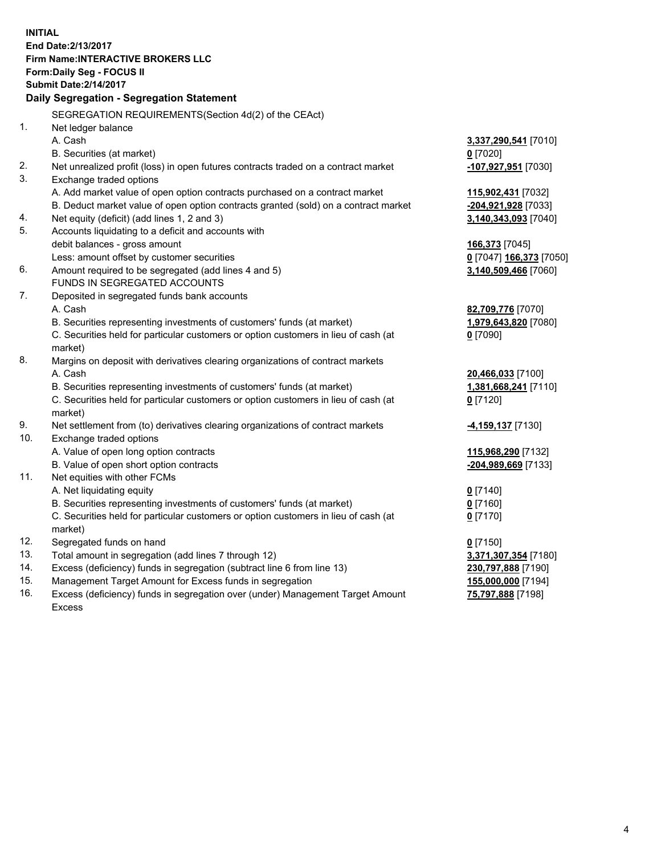**INITIAL End Date:2/13/2017 Firm Name:INTERACTIVE BROKERS LLC Form:Daily Seg - FOCUS II Submit Date:2/14/2017 Daily Segregation - Segregation Statement** SEGREGATION REQUIREMENTS(Section 4d(2) of the CEAct) 1. Net ledger balance A. Cash **3,337,290,541** [7010] B. Securities (at market) **0** [7020] 2. Net unrealized profit (loss) in open futures contracts traded on a contract market **-107,927,951** [7030] 3. Exchange traded options A. Add market value of open option contracts purchased on a contract market **115,902,431** [7032] B. Deduct market value of open option contracts granted (sold) on a contract market **-204,921,928** [7033] 4. Net equity (deficit) (add lines 1, 2 and 3) **3,140,343,093** [7040] 5. Accounts liquidating to a deficit and accounts with debit balances - gross amount **166,373** [7045] Less: amount offset by customer securities **0** [7047] **166,373** [7050] 6. Amount required to be segregated (add lines 4 and 5) **3,140,509,466** [7060] FUNDS IN SEGREGATED ACCOUNTS 7. Deposited in segregated funds bank accounts A. Cash **82,709,776** [7070] B. Securities representing investments of customers' funds (at market) **1,979,643,820** [7080] C. Securities held for particular customers or option customers in lieu of cash (at market) **0** [7090] 8. Margins on deposit with derivatives clearing organizations of contract markets A. Cash **20,466,033** [7100] B. Securities representing investments of customers' funds (at market) **1,381,668,241** [7110] C. Securities held for particular customers or option customers in lieu of cash (at market) **0** [7120] 9. Net settlement from (to) derivatives clearing organizations of contract markets **-4,159,137** [7130] 10. Exchange traded options A. Value of open long option contracts **115,968,290** [7132] B. Value of open short option contracts **-204,989,669** [7133] 11. Net equities with other FCMs A. Net liquidating equity **0** [7140] B. Securities representing investments of customers' funds (at market) **0** [7160] C. Securities held for particular customers or option customers in lieu of cash (at market) **0** [7170] 12. Segregated funds on hand **0** [7150] 13. Total amount in segregation (add lines 7 through 12) **3,371,307,354** [7180] 14. Excess (deficiency) funds in segregation (subtract line 6 from line 13) **230,797,888** [7190] 15. Management Target Amount for Excess funds in segregation **155,000,000** [7194]

16. Excess (deficiency) funds in segregation over (under) Management Target Amount Excess

4

**75,797,888** [7198]